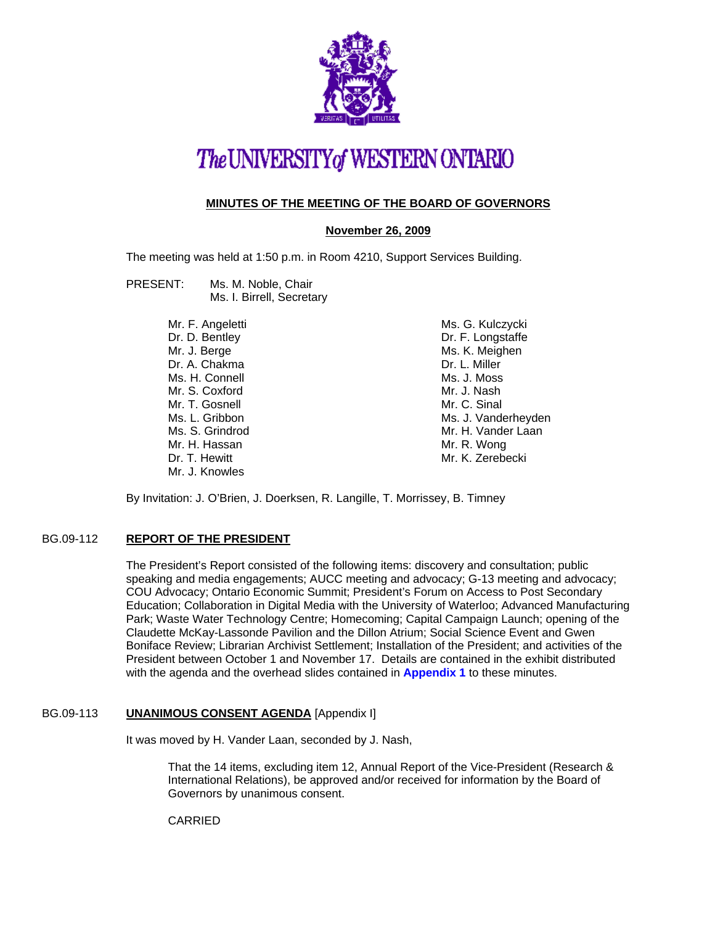

# The UNIVERSITY of WESTERN ONTARIO

### **MINUTES OF THE MEETING OF THE BOARD OF GOVERNORS**

#### **November 26, 2009**

The meeting was held at 1:50 p.m. in Room 4210, Support Services Building.

#### PRESENT: Ms. M. Noble, Chair Ms. I. Birrell, Secretary

Mr. F. Angeletti Dr. D. Bentley Mr. J. Berge Dr. A. Chakma Ms. H. Connell Mr. S. Coxford Mr. T. Gosnell Ms. L. Gribbon Ms. S. Grindrod Mr. H. Hassan Dr. T. Hewitt Mr. J. Knowles

Ms. G. Kulczycki Dr. F. Longstaffe Ms. K. Meighen Dr. L. Miller Ms. J. Moss Mr. J. Nash Mr. C. Sinal Ms. J. Vanderheyden Mr. H. Vander Laan Mr. R. Wong Mr. K. Zerebecki

By Invitation: J. O'Brien, J. Doerksen, R. Langille, T. Morrissey, B. Timney

#### BG.09-112 **REPORT OF THE PRESIDENT**

The President's Report consisted of the following items: discovery and consultation; public speaking and media engagements; AUCC meeting and advocacy; G-13 meeting and advocacy; COU Advocacy; Ontario Economic Summit; President's Forum on Access to Post Secondary Education; Collaboration in Digital Media with the University of Waterloo; Advanced Manufacturing Park; Waste Water Technology Centre; Homecoming; Capital Campaign Launch; opening of the Claudette McKay-Lassonde Pavilion and the Dillon Atrium; Social Science Event and Gwen Boniface Review; Librarian Archivist Settlement; Installation of the President; and activities of the President between October 1 and November 17. Details are contained in the exhibit distributed with the agenda and the overhead slides contained in **[Appendix 1](#page-4-0)** to these minutes.

#### BG.09-113 **UNANIMOUS CONSENT AGENDA** [Appendix I]

It was moved by H. Vander Laan, seconded by J. Nash,

That the 14 items, excluding item 12, Annual Report of the Vice-President (Research & International Relations), be approved and/or received for information by the Board of Governors by unanimous consent.

CARRIED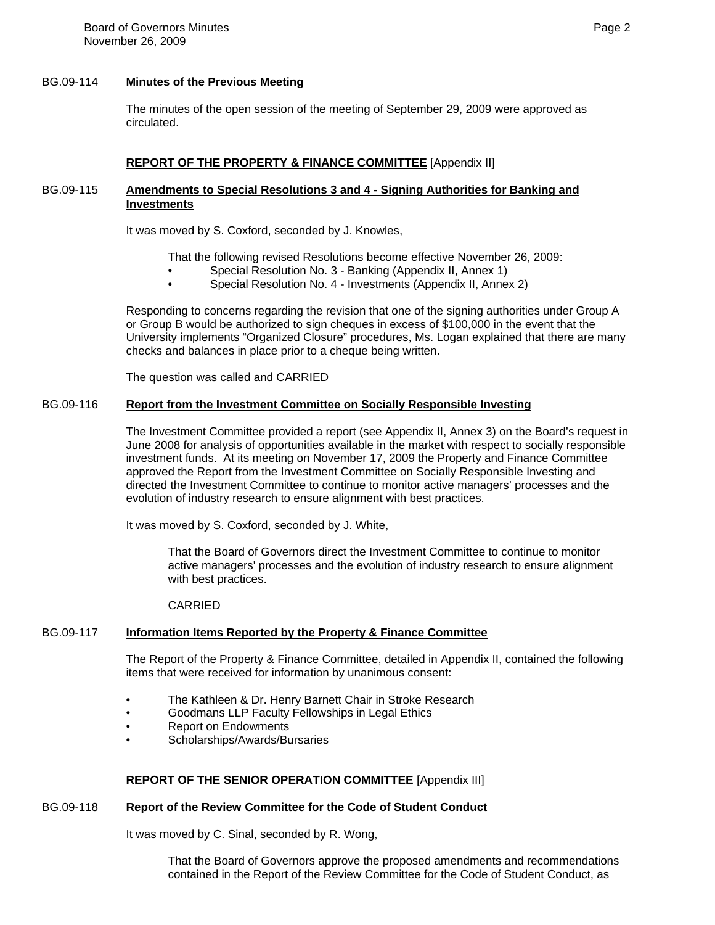#### BG.09-114 **Minutes of the Previous Meeting**

The minutes of the open session of the meeting of September 29, 2009 were approved as circulated.

#### **REPORT OF THE PROPERTY & FINANCE COMMITTEE** [Appendix II]

#### BG.09-115 **Amendments to Special Resolutions 3 and 4 - Signing Authorities for Banking and Investments**

It was moved by S. Coxford, seconded by J. Knowles,

That the following revised Resolutions become effective November 26, 2009:

- Special Resolution No. 3 Banking (Appendix II, Annex 1)
- Special Resolution No. 4 Investments (Appendix II, Annex 2)

Responding to concerns regarding the revision that one of the signing authorities under Group A or Group B would be authorized to sign cheques in excess of \$100,000 in the event that the University implements "Organized Closure" procedures, Ms. Logan explained that there are many checks and balances in place prior to a cheque being written.

The question was called and CARRIED

## BG.09-116 **Report from the Investment Committee on Socially Responsible Investing**

The Investment Committee provided a report (see Appendix II, Annex 3) on the Board's request in June 2008 for analysis of opportunities available in the market with respect to socially responsible investment funds. At its meeting on November 17, 2009 the Property and Finance Committee approved the Report from the Investment Committee on Socially Responsible Investing and directed the Investment Committee to continue to monitor active managers' processes and the evolution of industry research to ensure alignment with best practices.

It was moved by S. Coxford, seconded by J. White,

That the Board of Governors direct the Investment Committee to continue to monitor active managers' processes and the evolution of industry research to ensure alignment with best practices.

## CARRIED

## BG.09-117 **Information Items Reported by the Property & Finance Committee**

The Report of the Property & Finance Committee, detailed in Appendix II, contained the following items that were received for information by unanimous consent:

- The Kathleen & Dr. Henry Barnett Chair in Stroke Research
- Goodmans LLP Faculty Fellowships in Legal Ethics
- Report on Endowments
- Scholarships/Awards/Bursaries

## **REPORT OF THE SENIOR OPERATION COMMITTEE** [Appendix III]

## BG.09-118 **Report of the Review Committee for the Code of Student Conduct**

It was moved by C. Sinal, seconded by R. Wong,

That the Board of Governors approve the proposed amendments and recommendations contained in the Report of the Review Committee for the Code of Student Conduct, as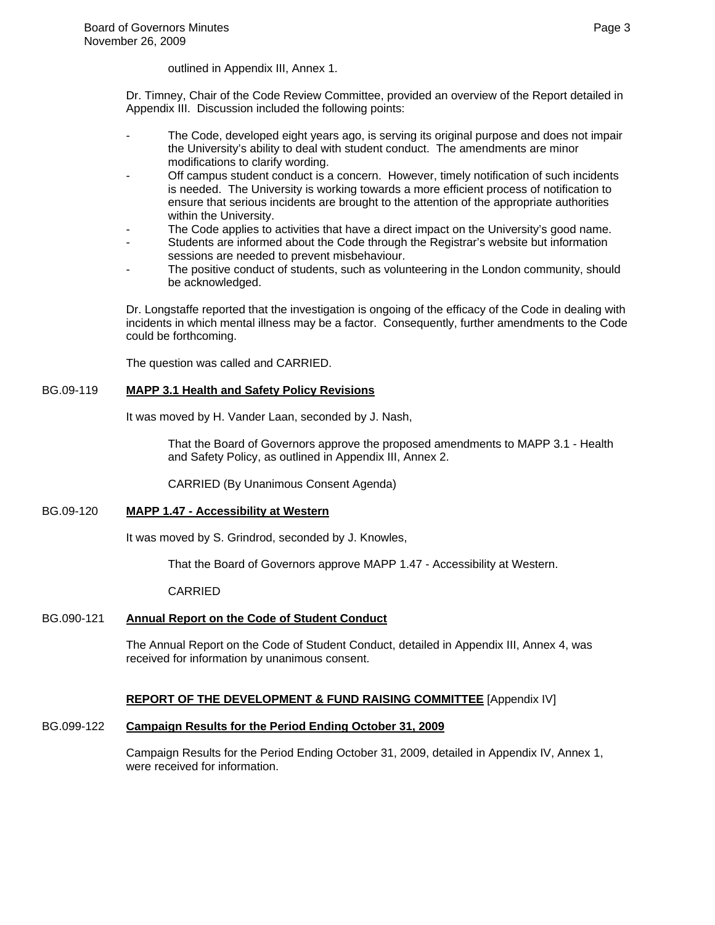outlined in Appendix III, Annex 1.

Dr. Timney, Chair of the Code Review Committee, provided an overview of the Report detailed in Appendix III. Discussion included the following points:

- The Code, developed eight years ago, is serving its original purpose and does not impair the University's ability to deal with student conduct. The amendments are minor modifications to clarify wording.
- Off campus student conduct is a concern. However, timely notification of such incidents is needed. The University is working towards a more efficient process of notification to ensure that serious incidents are brought to the attention of the appropriate authorities within the University.
- The Code applies to activities that have a direct impact on the University's good name.
- Students are informed about the Code through the Registrar's website but information sessions are needed to prevent misbehaviour.
- The positive conduct of students, such as volunteering in the London community, should be acknowledged.

Dr. Longstaffe reported that the investigation is ongoing of the efficacy of the Code in dealing with incidents in which mental illness may be a factor. Consequently, further amendments to the Code could be forthcoming.

The question was called and CARRIED.

#### BG.09-119 **MAPP 3.1 Health and Safety Policy Revisions**

It was moved by H. Vander Laan, seconded by J. Nash,

That the Board of Governors approve the proposed amendments to MAPP 3.1 - Health and Safety Policy, as outlined in Appendix III, Annex 2.

CARRIED (By Unanimous Consent Agenda)

#### BG.09-120 **MAPP 1.47 - Accessibility at Western**

It was moved by S. Grindrod, seconded by J. Knowles,

That the Board of Governors approve MAPP 1.47 - Accessibility at Western.

CARRIED

## BG.090-121 **Annual Report on the Code of Student Conduct**

The Annual Report on the Code of Student Conduct, detailed in Appendix III, Annex 4, was received for information by unanimous consent.

## **REPORT OF THE DEVELOPMENT & FUND RAISING COMMITTEE** [Appendix IV]

## BG.099-122 **Campaign Results for the Period Ending October 31, 2009**

Campaign Results for the Period Ending October 31, 2009, detailed in Appendix IV, Annex 1, were received for information.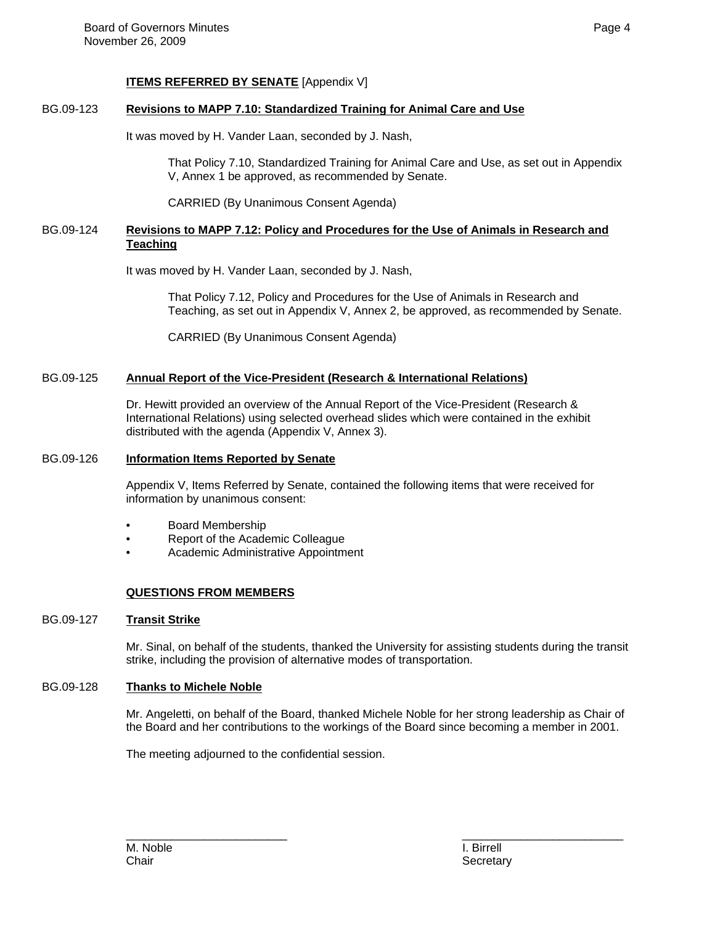#### **ITEMS REFERRED BY SENATE** [Appendix V]

#### BG.09-123 **Revisions to MAPP 7.10: Standardized Training for Animal Care and Use**

It was moved by H. Vander Laan, seconded by J. Nash,

That Policy 7.10, Standardized Training for Animal Care and Use, as set out in Appendix V, Annex 1 be approved, as recommended by Senate.

CARRIED (By Unanimous Consent Agenda)

#### BG.09-124 **Revisions to MAPP 7.12: Policy and Procedures for the Use of Animals in Research and Teaching**

It was moved by H. Vander Laan, seconded by J. Nash,

That Policy 7.12, Policy and Procedures for the Use of Animals in Research and Teaching, as set out in Appendix V, Annex 2, be approved, as recommended by Senate.

CARRIED (By Unanimous Consent Agenda)

#### BG.09-125 **Annual Report of the Vice-President (Research & International Relations)**

Dr. Hewitt provided an overview of the Annual Report of the Vice-President (Research & International Relations) using selected overhead slides which were contained in the exhibit distributed with the agenda (Appendix V, Annex 3).

#### BG.09-126 **Information Items Reported by Senate**

Appendix V, Items Referred by Senate, contained the following items that were received for information by unanimous consent:

- Board Membership
- Report of the Academic Colleague
- Academic Administrative Appointment

#### **QUESTIONS FROM MEMBERS**

#### BG.09-127 **Transit Strike**

Mr. Sinal, on behalf of the students, thanked the University for assisting students during the transit strike, including the provision of alternative modes of transportation.

#### BG.09-128 **Thanks to Michele Noble**

Mr. Angeletti, on behalf of the Board, thanked Michele Noble for her strong leadership as Chair of the Board and her contributions to the workings of the Board since becoming a member in 2001.

The meeting adjourned to the confidential session.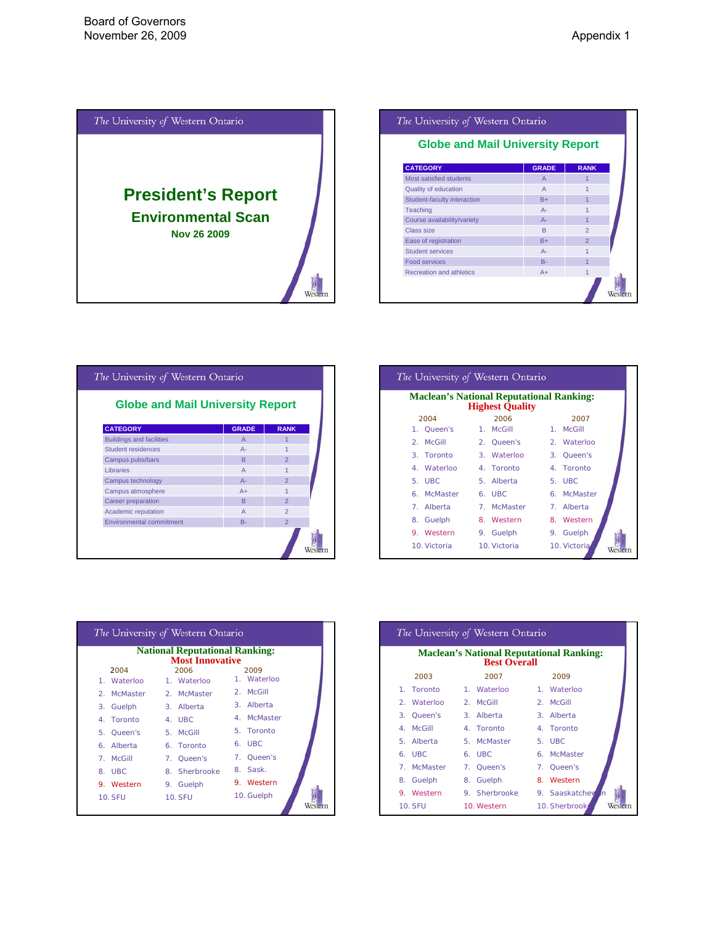<span id="page-4-0"></span>

| The University of Western Ontario       |                |               |  |
|-----------------------------------------|----------------|---------------|--|
| <b>Globe and Mail University Report</b> |                |               |  |
| <b>CATEGORY</b>                         | <b>GRADE</b>   | <b>RANK</b>   |  |
| Most satisfied students                 | $\overline{A}$ |               |  |
| Quality of education                    | $\overline{A}$ |               |  |
| Student-faculty interaction             | $B+$           |               |  |
| <b>Teaching</b>                         | $A -$          |               |  |
| Course availability/variety             | $A -$          |               |  |
| Class size                              | R              | $\mathcal{P}$ |  |
| Ease of registration                    | $B+$           | $\mathcal{P}$ |  |
| <b>Student services</b>                 | $A -$          |               |  |
| Food services                           | $B -$          |               |  |
| Recreation and athletics                | $A+$           | 1             |  |
|                                         |                |               |  |

| <b>Globe and Mail University Report</b> |                |                |
|-----------------------------------------|----------------|----------------|
| <b>CATEGORY</b>                         | <b>GRADE</b>   | <b>RANK</b>    |
| <b>Buildings and facilities</b>         | $\overline{A}$ |                |
| Student residences                      | $A -$          |                |
| Campus pubs/bars                        | R.             | $\overline{2}$ |
| Libraries                               | $\overline{A}$ | 1              |
| Campus technology                       | $A -$          | $\overline{2}$ |
| Campus atmosphere                       | $A+$           | 1              |
| Career preparation                      | R.             | $\overline{2}$ |
| Academic reputation                     | $\overline{A}$ | $\overline{2}$ |
| Environmental commitment                | $B -$          | $\overline{2}$ |

| The University of Western Ontario                                         |              |              |  |  |  |
|---------------------------------------------------------------------------|--------------|--------------|--|--|--|
| <b>Maclean's National Reputational Ranking:</b><br><b>Highest Quality</b> |              |              |  |  |  |
| 2004                                                                      | 2006         | 2007         |  |  |  |
| 1. Queen's                                                                | 1. McGill    | 1. McGill    |  |  |  |
| 2. McGill                                                                 | 2. Queen's   | 2. Waterloo  |  |  |  |
| 3. Toronto                                                                | 3. Waterloo  | 3. Oueen's   |  |  |  |
| 4. Waterloo                                                               | 4. Toronto   | 4. Toronto   |  |  |  |
| 5. UBC                                                                    | 5. Alberta   | 5. UBC       |  |  |  |
| 6. McMaster                                                               | 6. UBC       | 6. McMaster  |  |  |  |
| Alberta<br>$7^{\circ}$                                                    | 7. McMaster  | 7. Alberta   |  |  |  |
| Guelph<br>8.                                                              | 8. Western   | 8. Western   |  |  |  |
| 9. Western                                                                | 9. Guelph    | 9. Guelph    |  |  |  |
| 10. Victoria                                                              | 10. Victoria | 10. Victoria |  |  |  |

|                           | <b>National Reputational Ranking:</b><br><b>Most Innovative</b> |                           |
|---------------------------|-----------------------------------------------------------------|---------------------------|
| 2004                      | 2006                                                            | 2009                      |
| 1. Waterloo               | 1. Waterloo                                                     | 1. Waterloo               |
| McMaster<br>$\mathcal{D}$ | 2. McMaster                                                     | 2. McGill                 |
| 3. Guelph                 | 3. Alberta                                                      | 3. Alberta                |
| 4. Toronto                | 4. UBC                                                          | 4. McMaster               |
| 5.<br>Oueen's             | 5. McGill                                                       | 5. Toronto                |
| Alberta<br>6.             | 6. Toronto                                                      | 6. UBC                    |
| McGill<br>$\overline{7}$  | 7. Queen's                                                      | $\overline{7}$<br>Oueen's |
| UBC.<br>8.                | 8. Sherbrooke                                                   | 8. Sask.                  |
| 9. Western                | 9. Guelph                                                       | 9. Western                |
| <b>10. SFU</b>            | <b>10. SFU</b>                                                  | 10. Guelph                |

|                                                                        | The University of Western Ontario |  |               |  |                      |
|------------------------------------------------------------------------|-----------------------------------|--|---------------|--|----------------------|
| <b>Maclean's National Reputational Ranking:</b><br><b>Best Overall</b> |                                   |  |               |  |                      |
|                                                                        | 2003                              |  | 2007          |  | 2009                 |
|                                                                        | 1. Toronto                        |  | 1. Waterloo   |  | 1. Waterloo          |
|                                                                        | 2. Waterloo                       |  | 2. McGill     |  | 2. McGill            |
|                                                                        | 3. Oueen's                        |  | 3. Alberta    |  | 3. Alberta           |
| 4. McGill                                                              |                                   |  | 4. Toronto    |  | 4. Toronto           |
|                                                                        | 5. Alberta                        |  | 5. McMaster   |  | 5. UBC               |
| 6. UBC                                                                 |                                   |  | 6. UBC        |  | 6. McMaster          |
|                                                                        | 7. McMaster                       |  | 7. Queen's    |  | 7. Queen's           |
|                                                                        | 8. Guelph                         |  | 8. Guelph     |  | 8. Western           |
|                                                                        | 9. Western                        |  | 9. Sherbrooke |  | 9. Saaskatchev<br>Иn |
| <b>10. SFU</b>                                                         |                                   |  | 10. Western   |  | 10. Sherbrook        |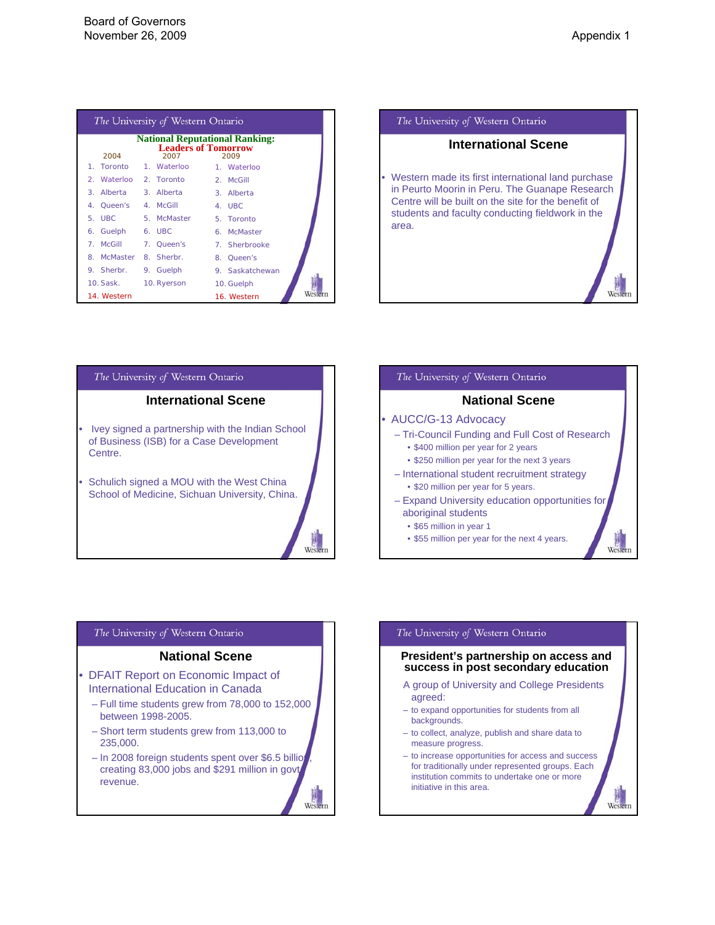| The University of Western Ontario |                                    |                                               |  |  |
|-----------------------------------|------------------------------------|-----------------------------------------------|--|--|
| 2004                              | <b>Leaders of Tomorrow</b><br>2007 | <b>National Reputational Ranking:</b><br>2009 |  |  |
| 1. Toronto                        | 1. Waterloo                        | 1. Waterloo                                   |  |  |
| 2. Waterloo 2. Toronto            |                                    | 2. McGill                                     |  |  |
| 3.                                | Alberta 3. Alberta                 | 3. Alberta                                    |  |  |
| 4. Oueen's                        | 4. McGill                          | 4. UBC                                        |  |  |
| 5. UBC                            | 5. McMaster                        | 5. Toronto                                    |  |  |
| 6. Guelph                         | 6. UBC                             | 6. McMaster                                   |  |  |
| McGill<br>$\mathbf{7}$            | 7. Queen's                         | 7. Sherbrooke                                 |  |  |
| 8                                 | McMaster 8. Sherbr.                | 8. Queen's                                    |  |  |
| 9. Sherbr. 9. Guelph              |                                    | 9. Saskatchewan                               |  |  |
| 10. Sask.                         | 10. Ryerson                        | 10. Guelph                                    |  |  |
| 14. Western                       |                                    | Wester<br>16. Western                         |  |  |





### The University of Western Ontario **National Scene** • AUCC/G-13 Advocacy – Tri-Council Funding and Full Cost of Research • \$400 million per year for 2 years • \$250 million per year for the next 3 years – International student recruitment strategy • \$20 million per year for 5 years. – Expand University education opportunities for aboriginal students • \$65 million in year 1 • \$55 million per year for the next 4 years.

#### The University of Western Ontario

#### **National Scene**

- DFAIT Report on Economic Impact of International Education in Canada
	- Full time students grew from 78,000 to 152,000 between 1998-2005.
	- Short term students grew from 113,000 to 235,000.
	- In 2008 foreign students spent over \$6.5 billion creating 83,000 jobs and \$291 million in govt. revenue.

Weste

# The University of Western Ontario

#### **President's partnership on access and success in post secondary education**

- A group of University and College Presidents agreed:
- to expand opportunities for students from all backgrounds.
- to collect, analyze, publish and share data to measure progress.
- to increase opportunities for access and success for traditionally under represented groups. Each institution commits to undertake one or more initiative in this area.

West